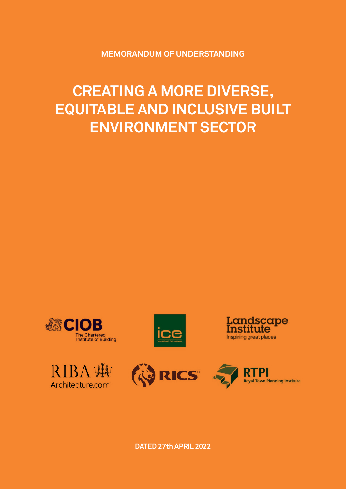# **CREATING A MORE DIVERSE, EQUITABLE AND INCLUSIVE BUILT ENVIRONMENT SECTOR**









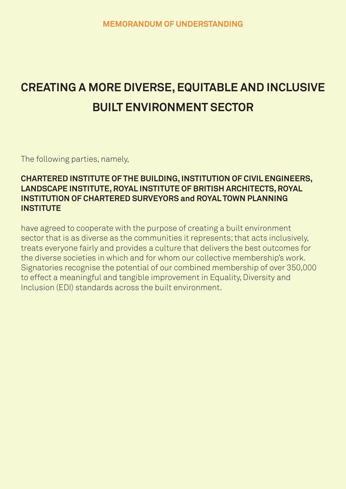## **CREATING A MORE DIVERSE, EQUITABLE AND INCLUSIVE BUILT ENVIRONMENT SECTOR**

The following parties, namely,

#### **CHARTERED INSTITUTE OF THE BUILDING, INSTITUTION OF CIVIL ENGINEERS, LANDSCAPE INSTITUTE, ROYAL INSTITUTE OF BRITISH ARCHITECTS, ROYAL INSTITUTION OF CHARTERED SURVEYORS and ROYAL TOWN PLANNING INSTITUTE**

have agreed to cooperate with the purpose of creating a built environment sector that is as diverse as the communities it represents; that acts inclusively, treats everyone fairly and provides a culture that delivers the best outcomes for the diverse societies in which and for whom our collective membership's work. Signatories recognise the potential of our combined membership of over 350,000 to effect a meaningful and tangible improvement in Equality, Diversity and Inclusion (EDI) standards across the built environment.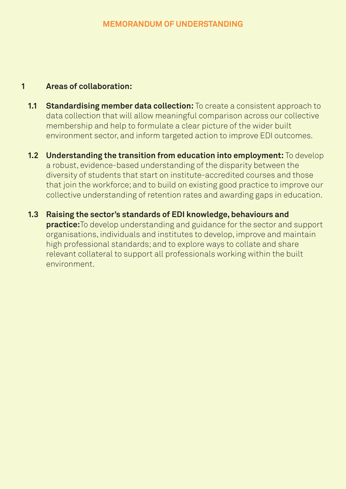#### **Areas of collaboration: 1**

- **Standardising member data collection:** To create a consistent approach to data collection that will allow meaningful comparison across our collective membership and help to formulate a clear picture of the wider built environment sector, and inform targeted action to improve EDI outcomes. **1.1**
- **Understanding the transition from education into employment:** To develop **1.2** a robust, evidence-based understanding of the disparity between the diversity of students that start on institute-accredited courses and those that join the workforce; and to build on existing good practice to improve our collective understanding of retention rates and awarding gaps in education.
- **Raising the sector's standards of EDI knowledge, behaviours and 1.3practice:**To develop understanding and guidance for the sector and support organisations, individuals and institutes to develop, improve and maintain high professional standards; and to explore ways to collate and share relevant collateral to support all professionals working within the built environment.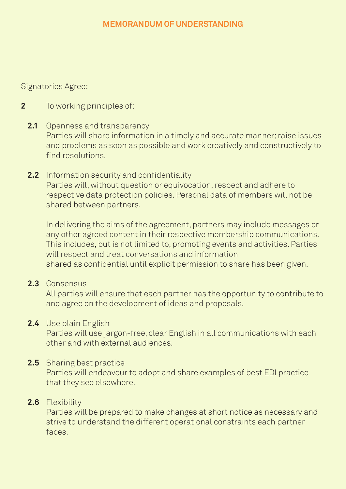Signatories Agree:

- **2** To working principles of:
	- **2.1** Openness and transparency Parties will share information in a timely and accurate manner; raise issues and problems as soon as possible and work creatively and constructively to find resolutions.
	- **2.2** Information security and confidentiality Parties will, without question or equivocation, respect and adhere to respective data protection policies. Personal data of members will not be shared between partners.

In delivering the aims of the agreement, partners may include messages or any other agreed content in their respective membership communications. This includes, but is not limited to, promoting events and activities. Parties will respect and treat conversations and information shared as confidential until explicit permission to share has been given.

**2.3** Consensus

All parties will ensure that each partner has the opportunity to contribute to and agree on the development of ideas and proposals.

#### **2.4** Use plain English

Parties will use jargon-free, clear English in all communications with each other and with external audiences.

#### **2.5** Sharing best practice

Parties will endeavour to adopt and share examples of best EDI practice that they see elsewhere.

### **2.6** Flexibility

Parties will be prepared to make changes at short notice as necessary and strive to understand the different operational constraints each partner faces.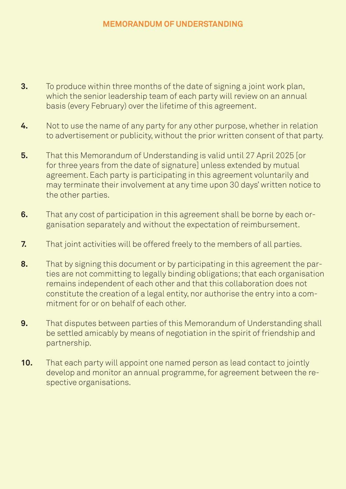- **3.** To produce within three months of the date of signing a joint work plan, which the senior leadership team of each party will review on an annual basis (every February) over the lifetime of this agreement.
- **4.** Not to use the name of any party for any other purpose, whether in relation to advertisement or publicity, without the prior written consent of that party.
- **5.** That this Memorandum of Understanding is valid until 27 April 2025 [or for three years from the date of signature] unless extended by mutual agreement. Each party is participating in this agreement voluntarily and may terminate their involvement at any time upon 30 days' written notice to the other parties.
- **6.** That any cost of participation in this agreement shall be borne by each organisation separately and without the expectation of reimbursement.
- **7.** That joint activities will be offered freely to the members of all parties.
- **8.** That by signing this document or by participating in this agreement the parties are not committing to legally binding obligations; that each organisation remains independent of each other and that this collaboration does not constitute the creation of a legal entity, nor authorise the entry into a commitment for or on behalf of each other.
- **9.** That disputes between parties of this Memorandum of Understanding shall be settled amicably by means of negotiation in the spirit of friendship and partnership.
- **10.** That each party will appoint one named person as lead contact to jointly develop and monitor an annual programme, for agreement between the respective organisations.